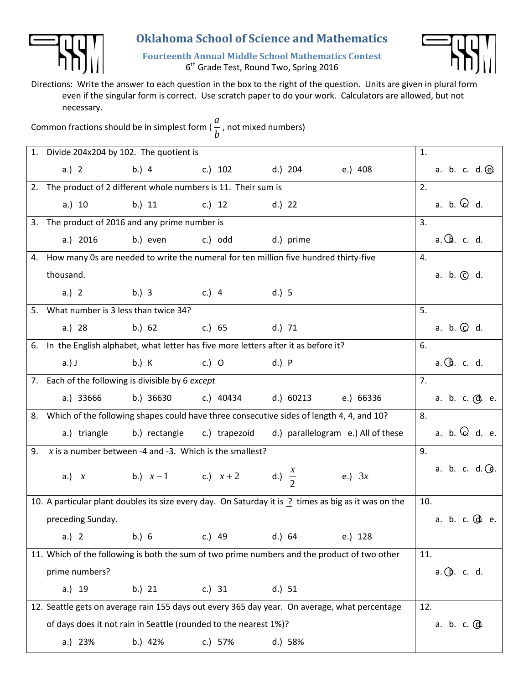

## **Oklahoma School of Science and Mathematics**

**Fourteenth Annual Middle School Mathematics Contest** 6<sup>th</sup> Grade Test, Round Two, Spring 2016



Directions: Write the answer to each question in the box to the right of the question. Units are given in plural form even if the singular form is correct. Use scratch paper to do your work. Calculators are allowed, but not necessary.

Common fractions should be in simplest form ( *a b* , not mixed numbers)

|    | 1. Divide 204x204 by 102. The quotient is                                                                        |                                                                                             |                                         |           |                                                                | 1.                       |  |
|----|------------------------------------------------------------------------------------------------------------------|---------------------------------------------------------------------------------------------|-----------------------------------------|-----------|----------------------------------------------------------------|--------------------------|--|
|    | a.) 2                                                                                                            | b.) 4 c.) 102 d.) 204 e.) 408                                                               |                                         |           |                                                                | a. b. c. $d.$ $@.$       |  |
|    |                                                                                                                  | 2. The product of 2 different whole numbers is 11. Their sum is                             |                                         |           |                                                                |                          |  |
|    | a.) 10                                                                                                           | b.) 11                                                                                      | c.) 12                                  | $d.)$ 22  |                                                                | a. b. $Q$ . d.           |  |
|    | 3. The product of 2016 and any prime number is                                                                   |                                                                                             |                                         |           |                                                                | 3.                       |  |
|    | a.) 2016                                                                                                         | b.) even                                                                                    | c.) odd                                 | d.) prime |                                                                | a. Cb. c. d.             |  |
|    | 4. How many 0s are needed to write the numeral for ten million five hundred thirty-five                          |                                                                                             |                                         |           |                                                                | 4.                       |  |
|    | thousand.                                                                                                        |                                                                                             |                                         |           |                                                                | a. b. $\odot$ d.         |  |
|    | a.) 2                                                                                                            | b.) 3 c.) 4 d.) 5                                                                           |                                         |           |                                                                |                          |  |
|    | 5. What number is 3 less than twice 34?                                                                          |                                                                                             |                                         |           |                                                                | 5.                       |  |
|    | a.) 28                                                                                                           |                                                                                             | b.) 62 c.) 65 d.) 71                    |           |                                                                | a. b. $\odot$ d.         |  |
|    | 6. In the English alphabet, what letter has five more letters after it as before it?                             |                                                                                             |                                         |           |                                                                | 6.                       |  |
|    | $a.)$ J                                                                                                          | b.) K<br>$C.$ ) O                                                                           | d.) P                                   |           |                                                                | $a.\bigcirc b.$ c. d.    |  |
|    | 7. Each of the following is divisible by 6 except                                                                |                                                                                             |                                         |           |                                                                | 7.                       |  |
|    | a.) 33666                                                                                                        |                                                                                             | b.) 36630 c.) 40434 d.) 60213 e.) 66336 |           |                                                                | a. b. c. @. e.           |  |
|    |                                                                                                                  | 8. Which of the following shapes could have three consecutive sides of length 4, 4, and 10? |                                         |           |                                                                |                          |  |
|    | a.) triangle                                                                                                     |                                                                                             |                                         |           | b.) rectangle c.) trapezoid d.) parallelogram e.) All of these | a. b. $Q$ . d. e.        |  |
| 9. | x is a number between -4 and -3. Which is the smallest?                                                          | 9.                                                                                          |                                         |           |                                                                |                          |  |
|    |                                                                                                                  | a.) x b.) $x-1$ c.) $x+2$ d.) $\frac{x}{2}$ e.) 3x                                          |                                         |           |                                                                | a. b. c. $d.$ $\Theta$ . |  |
|    | 10. A particular plant doubles its size every day. On Saturday it is $\frac{1}{2}$ times as big as it was on the | 10.                                                                                         |                                         |           |                                                                |                          |  |
|    | preceding Sunday.                                                                                                |                                                                                             | a. b. c. @. e.                          |           |                                                                |                          |  |
|    | a.) 2                                                                                                            | b.) 6                                                                                       | $c.)$ 49                                | d.) 64    | e.) 128                                                        |                          |  |
|    | 11. Which of the following is both the sum of two prime numbers and the product of two other                     | 11.                                                                                         |                                         |           |                                                                |                          |  |
|    | prime numbers?                                                                                                   |                                                                                             |                                         |           |                                                                | $a.$ $\oplus$ . c. d.    |  |
|    | a.) 19                                                                                                           | b.) 21                                                                                      | c.) 31                                  | d.) 51    |                                                                |                          |  |
|    | 12. Seattle gets on average rain 155 days out every 365 day year. On average, what percentage                    | 12.                                                                                         |                                         |           |                                                                |                          |  |
|    | of days does it not rain in Seattle (rounded to the nearest 1%)?                                                 |                                                                                             |                                         |           |                                                                | a. b. c. (d).            |  |
|    | a.) 23%                                                                                                          | b.) 42%                                                                                     | c.) 57%                                 | d.) 58%   |                                                                |                          |  |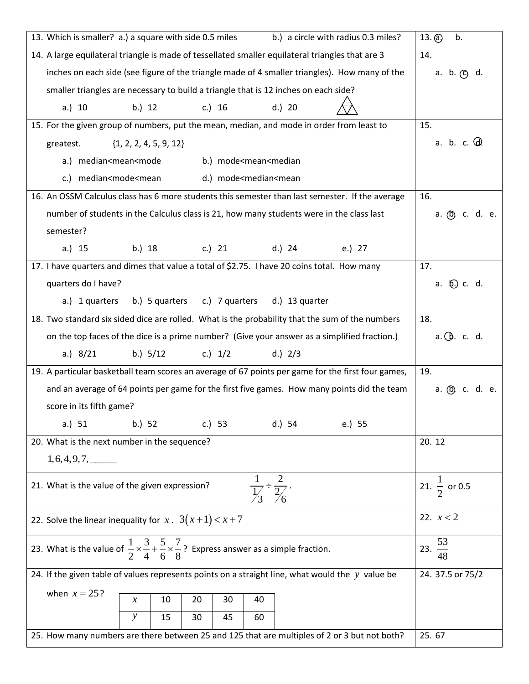| 13. Which is smaller? a.) a square with side 0.5 miles<br>b.) a circle with radius 0.3 miles?                                     | $13.$ (a)<br>b.          |
|-----------------------------------------------------------------------------------------------------------------------------------|--------------------------|
| 14. A large equilateral triangle is made of tessellated smaller equilateral triangles that are 3                                  | 14.                      |
| inches on each side (see figure of the triangle made of 4 smaller triangles). How many of the                                     | a. b. $\circledcirc$ d.  |
| smaller triangles are necessary to build a triangle that is 12 inches on each side?                                               |                          |
| d.) 20<br>c.) 16<br>a.) 10<br>b.) 12                                                                                              |                          |
| 15. For the given group of numbers, put the mean, median, and mode in order from least to                                         | 15.                      |
| $\{1, 2, 2, 4, 5, 9, 12\}$<br>greatest.                                                                                           | a. b. c. $\mathbb{Q}$ .  |
| a.) median <mean<mode<br>b.) mode<mean<median< td=""><td></td></mean<median<></mean<mode<br>                                      |                          |
| c.) median <mode<mean<br>d.) mode<median<mean< td=""><td></td></median<mean<></mode<mean<br>                                      |                          |
| 16. An OSSM Calculus class has 6 more students this semester than last semester. If the average                                   | 16.                      |
| number of students in the Calculus class is 21, how many students were in the class last                                          | a. (b) c. d. e.          |
| semester?                                                                                                                         |                          |
| b.) 18 c.) 21<br>d.) 24<br>a.) 15<br>e.) 27                                                                                       |                          |
| 17. I have quarters and dimes that value a total of \$2.75. I have 20 coins total. How many                                       | 17.                      |
| quarters do I have?                                                                                                               | a. Q c. d.               |
| b.) 5 quarters c.) 7 quarters<br>d.) 13 quarter<br>a.) 1 quarters                                                                 |                          |
| 18. Two standard six sided dice are rolled. What is the probability that the sum of the numbers                                   | 18.                      |
| on the top faces of the dice is a prime number? (Give your answer as a simplified fraction.)                                      | $a.$ $\oplus$ . c. d.    |
| a.) $8/21$<br>b.) $5/12$<br>c.) $1/2$<br>d.) $2/3$                                                                                |                          |
| 19. A particular basketball team scores an average of 67 points per game for the first four games,                                | 19.                      |
| and an average of 64 points per game for the first five games. How many points did the team                                       | a. (b) c. d. e.          |
| score in its fifth game?                                                                                                          |                          |
| b.) 52<br>a.) 51<br>c.) 53<br>d.) 54<br>e.) 55                                                                                    |                          |
| 20. What is the next number in the sequence?                                                                                      | 20.12                    |
| $1, 6, 4, 9, 7, \_\_$                                                                                                             |                          |
| $rac{1}{\frac{1}{3}} \div \frac{2}{\frac{2}{6}}$ .<br>21. What is the value of the given expression?                              | 21. $\frac{1}{2}$ or 0.5 |
|                                                                                                                                   |                          |
| 22. Solve the linear inequality for $x$ . $3(x+1) < x+7$                                                                          | 22. $x < 2$              |
| 23. What is the value of $\frac{1}{2} \times \frac{3}{4} + \frac{5}{6} \times \frac{7}{8}$ ? Express answer as a simple fraction. | 23. $\frac{53}{48}$      |
| 24. If the given table of values represents points on a straight line, what would the $y$ value be                                | 24. 37.5 or 75/2         |
| when $x = 25$ ?<br>10<br>20<br>40<br>30<br>$\chi$                                                                                 |                          |
| $\mathcal{Y}$<br>15<br>30<br>45<br>60                                                                                             |                          |
| 25. How many numbers are there between 25 and 125 that are multiples of 2 or 3 but not both?                                      | 25.67                    |
|                                                                                                                                   |                          |